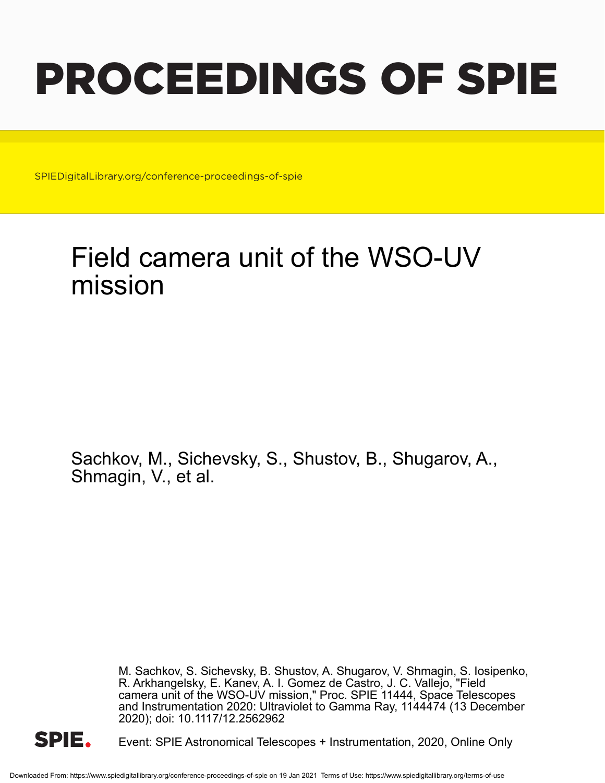# PROCEEDINGS OF SPIE

SPIEDigitalLibrary.org/conference-proceedings-of-spie

# Field camera unit of the WSO-UV mission

Sachkov, M., Sichevsky, S., Shustov, B., Shugarov, A., Shmagin, V., et al.

> M. Sachkov, S. Sichevsky, B. Shustov, A. Shugarov, V. Shmagin, S. Iosipenko, R. Arkhangelsky, E. Kanev, A. I. Gomez de Castro, J. C. Vallejo, "Field camera unit of the WSO-UV mission," Proc. SPIE 11444, Space Telescopes and Instrumentation 2020: Ultraviolet to Gamma Ray, 1144474 (13 December 2020); doi: 10.1117/12.2562962



Event: SPIE Astronomical Telescopes + Instrumentation, 2020, Online Only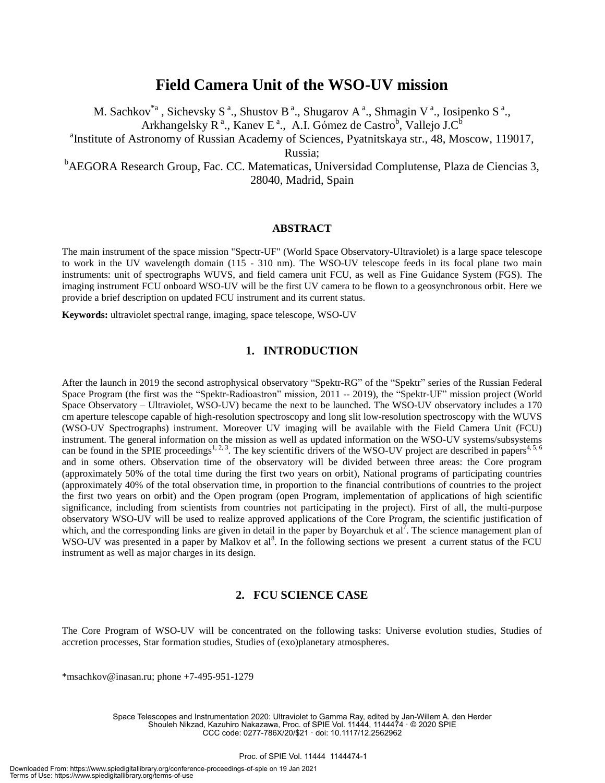# **Field Camera Unit of the WSO-UV mission**

M. Sachkov<sup>\*a</sup>, Sichevsky S<sup>a</sup>., Shustov B<sup>a</sup>., Shugarov A<sup>a</sup>., Shmagin V<sup>a</sup>., Iosipenko S<sup>a</sup>.,

Arkhangelsky  $R^a$ ., Kanev E<sup>a</sup>., A.I. Gómez de Castro<sup>b</sup>, Vallejo J.C<sup>b</sup>

<sup>a</sup>Institute of Astronomy of Russian Academy of Sciences, Pyatnitskaya str., 48, Moscow, 119017,

Russia;

<sup>b</sup>AEGORA Research Group, Fac. CC. Matematicas, Universidad Complutense, Plaza de Ciencias 3, 28040, Madrid, Spain

#### **ABSTRACT**

The main instrument of the space mission "Spectr-UF" (World Space Observatory-Ultraviolet) is a large space telescope to work in the UV wavelength domain (115 - 310 nm). The WSO-UV telescope feeds in its focal plane two main instruments: unit of spectrographs WUVS, and field camera unit FCU, as well as Fine Guidance System (FGS). The imaging instrument FCU onboard WSO-UV will be the first UV camera to be flown to a geosynchronous orbit. Here we provide a brief description on updated FCU instrument and its current status.

**Keywords:** ultraviolet spectral range, imaging, space telescope, WSO-UV

#### **1. INTRODUCTION**

After the launch in 2019 the second astrophysical observatory "Spektr-RG" of the "Spektr" series of the Russian Federal Space Program (the first was the "Spektr-Radioastron" mission, 2011 -- 2019), the "Spektr-UF" mission project (World Space Observatory – Ultraviolet, WSO-UV) became the next to be launched. The WSO-UV observatory includes a 170 cm aperture telescope capable of high-resolution spectroscopy and long slit low-resolution spectroscopy with the WUVS (WSO-UV Spectrographs) instrument. Moreover UV imaging will be available with the Field Camera Unit (FCU) instrument. The general information on the mission as well as updated information on the WSO-UV systems/subsystems can be found in the SPIE proceedings<sup>1, 2, 3</sup>. The key scientific drivers of the WSO-UV project are described in papers<sup>4, 5, 6</sup> and in some others. Observation time of the observatory will be divided between three areas: the Core program (approximately 50% of the total time during the first two years on orbit), National programs of participating countries (approximately 40% of the total observation time, in proportion to the financial contributions of countries to the project the first two years on orbit) and the Open program (open Program, implementation of applications of high scientific significance, including from scientists from countries not participating in the project). First of all, the multi-purpose observatory WSO-UV will be used to realize approved applications of the Core Program, the scientific justification of which, and the corresponding links are given in detail in the paper by Boyarchuk et al. The science management plan of WSO-UV was presented in a paper by Malkov et al<sup>8</sup>. In the following sections we present a current status of the FCU instrument as well as major charges in its design.

## **2. FCU SCIENCE CASE**

The Core Program of WSO-UV will be concentrated on the following tasks: Universe evolution studies, Studies of accretion processes, Star formation studies, Studies of (exo)planetary atmospheres.

\*msachkov@inasan.ru; phone +7-495-951-1279

Space Telescopes and Instrumentation 2020: Ultraviolet to Gamma Ray, edited by Jan-Willem A. den Herder Shouleh Nikzad, Kazuhiro Nakazawa, Proc. of SPIE Vol. 11444, 1144474 · © 2020 SPIE CCC code: 0277-786X/20/\$21 · doi: 10.1117/12.2562962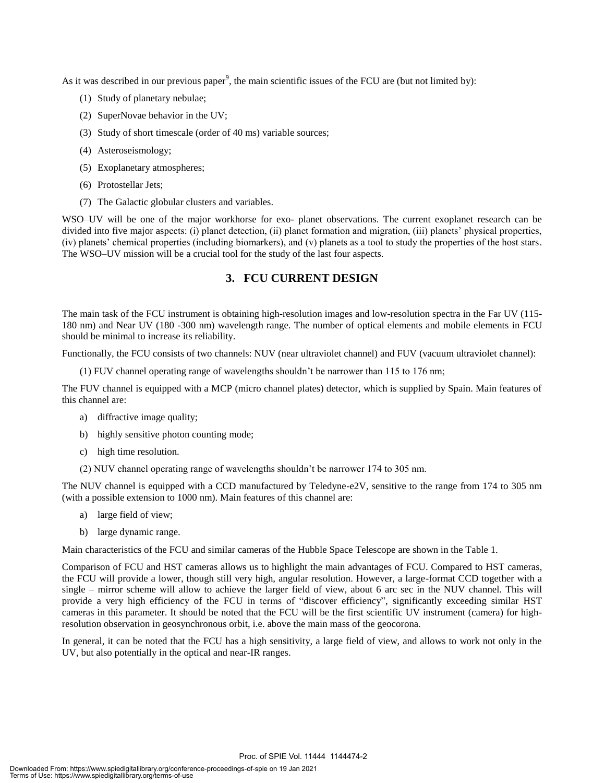As it was described in our previous paper<sup>9</sup>, the main scientific issues of the FCU are (but not limited by):

- (1) Study of planetary nebulae;
- (2) SuperNovae behavior in the UV;
- (3) Study of short timescale (order of 40 ms) variable sources;
- (4) Asteroseismology;
- (5) Exoplanetary atmospheres;
- (6) Protostellar Jets;
- (7) The Galactic globular clusters and variables.

WSO–UV will be one of the major workhorse for exo- planet observations. The current exoplanet research can be divided into five major aspects: (i) planet detection, (ii) planet formation and migration, (iii) planets' physical properties, (iv) planets' chemical properties (including biomarkers), and (v) planets as a tool to study the properties of the host stars. The WSO–UV mission will be a crucial tool for the study of the last four aspects.

#### **3. FCU CURRENT DESIGN**

The main task of the FCU instrument is obtaining high-resolution images and low-resolution spectra in the Far UV (115- 180 nm) and Near UV (180 -300 nm) wavelength range. The number of optical elements and mobile elements in FCU should be minimal to increase its reliability.

Functionally, the FCU consists of two channels: NUV (near ultraviolet channel) and FUV (vacuum ultraviolet channel):

(1) FUV channel operating range of wavelengths shouldn't be narrower than 115 to 176 nm;

The FUV channel is equipped with a MCP (micro channel plates) detector, which is supplied by Spain. Main features of this channel are:

- a) diffractive image quality;
- b) highly sensitive photon counting mode;
- c) high time resolution.
- (2) NUV channel operating range of wavelengths shouldn't be narrower 174 to 305 nm.

The NUV channel is equipped with a CCD manufactured by Teledyne-e2V, sensitive to the range from 174 to 305 nm (with a possible extension to 1000 nm). Main features of this channel are:

- a) large field of view;
- b) large dynamic range.

Main characteristics of the FCU and similar cameras of the Hubble Space Telescope are shown in the Table 1.

Comparison of FCU and HST cameras allows us to highlight the main advantages of FCU. Compared to HST cameras, the FCU will provide a lower, though still very high, angular resolution. However, a large-format CCD together with a single – mirror scheme will allow to achieve the larger field of view, about 6 arc sec in the NUV channel. This will provide a very high efficiency of the FCU in terms of "discover efficiency", significantly exceeding similar HST cameras in this parameter. It should be noted that the FCU will be the first scientific UV instrument (camera) for highresolution observation in geosynchronous orbit, i.e. above the main mass of the geocorona.

In general, it can be noted that the FCU has a high sensitivity, a large field of view, and allows to work not only in the UV, but also potentially in the optical and near-IR ranges.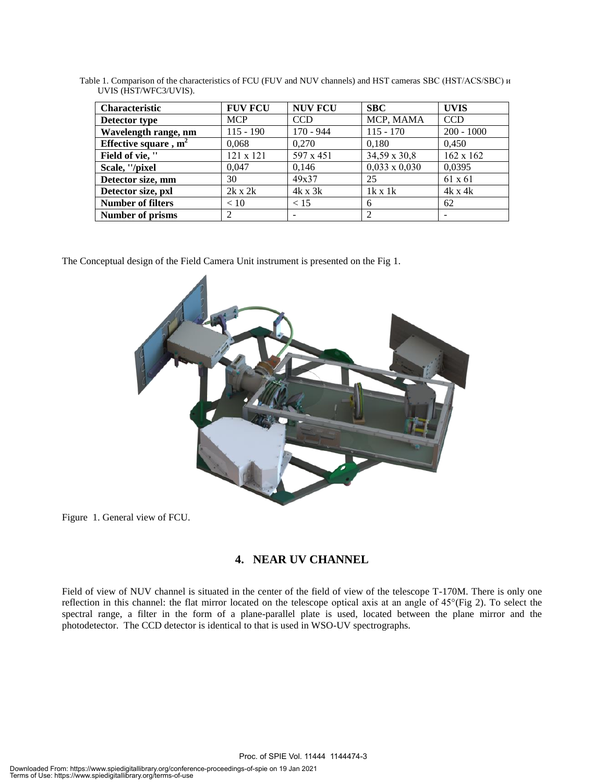| <b>Characteristic</b>    | <b>FUV FCU</b> | <b>NUV FCU</b> | <b>SBC</b>           | <b>UVIS</b>      |
|--------------------------|----------------|----------------|----------------------|------------------|
| Detector type            | <b>MCP</b>     | <b>CCD</b>     | MCP, MAMA            | <b>CCD</b>       |
| Wavelength range, nm     | $115 - 190$    | $170 - 944$    | $115 - 170$          | $200 - 1000$     |
| Effective square, $m2$   | 0.068          | 0.270          | 0.180                | 0.450            |
| Field of vie, "          | 121 x 121      | 597 x 451      | 34,59 x 30,8         | $162 \times 162$ |
| Scale, "/pixel           | 0.047          | 0,146          | $0,033 \times 0,030$ | 0,0395           |
| Detector size, mm        | 30             | 49x37          | 25                   | 61 x 61          |
| Detector size, pxl       | $2k \times 2k$ | $4k \times 3k$ | $1k \times 1k$       | $4k \times 4k$   |
| <b>Number of filters</b> | < 10           | < 15           | 6                    | 62               |
| Number of prisms         | 2              | -              |                      |                  |

Table 1. Comparison of the characteristics of FCU (FUV and NUV channels) and HST cameras SBC (HST/ACS/SBC) и UVIS (HST/WFC3/UVIS).

The Conceptual design of the Field Camera Unit instrument is presented on the Fig 1.



Figure 1. General view of FCU.

## **4. NEAR UV CHANNEL**

Field of view of NUV channel is situated in the center of the field of view of the telescope T-170M. There is only one reflection in this channel: the flat mirror located on the telescope optical axis at an angle of 45°(Fig 2). To select the spectral range, a filter in the form of a plane-parallel plate is used, located between the plane mirror and the photodetector. The CCD detector is identical to that is used in WSO-UV spectrographs.

Proc. of SPIE Vol. 11444 1144474-3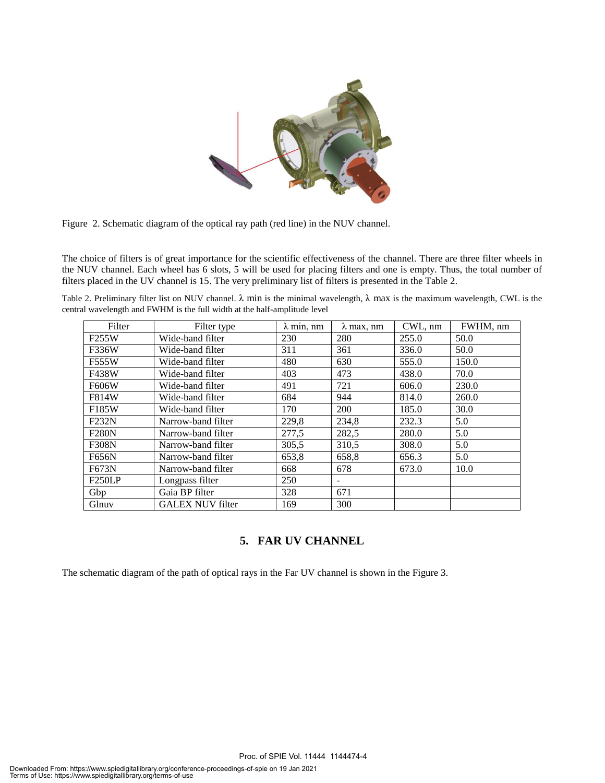

Figure 2. Schematic diagram of the optical ray path (red line) in the NUV channel.

The choice of filters is of great importance for the scientific effectiveness of the channel. There are three filter wheels in the NUV channel. Each wheel has 6 slots, 5 will be used for placing filters and one is empty. Thus, the total number of filters placed in the UV channel is 15. The very preliminary list of filters is presented in the Table 2.

Table 2. Preliminary filter list on NUV channel.  $\lambda$  min is the minimal wavelength,  $\lambda$  max is the maximum wavelength, CWL is the central wavelength and FWHM is the full width at the half-amplitude level

| Filter              | Filter type             | $\lambda$ min, nm | $\lambda$ max, nm | CWL, nm | FWHM, nm |
|---------------------|-------------------------|-------------------|-------------------|---------|----------|
| F255W               | Wide-band filter        | 230               | 280               | 255.0   | 50.0     |
| F336W               | Wide-band filter        | 311               | 361               | 336.0   | 50.0     |
| F555W               | Wide-band filter        | 480               | 630               | 555.0   | 150.0    |
| F438W               | Wide-band filter        | 403               | 473               | 438.0   | 70.0     |
| F606W               | Wide-band filter        | 491               | 721               | 606.0   | 230.0    |
| F814W               | Wide-band filter        | 684               | 944               | 814.0   | 260.0    |
| F185W               | Wide-band filter        | 170               | 200               | 185.0   | 30.0     |
| F232N               | Narrow-band filter      | 229,8             | 234,8             | 232.3   | 5.0      |
| <b>F280N</b>        | Narrow-band filter      | 277,5             | 282,5             | 280.0   | 5.0      |
| F308N               | Narrow-band filter      | 305,5             | 310,5             | 308.0   | 5.0      |
| F656N               | Narrow-band filter      | 653,8             | 658,8             | 656.3   | 5.0      |
| F673N               | Narrow-band filter      | 668               | 678               | 673.0   | 10.0     |
| F <sub>250</sub> LP | Longpass filter         | 250               | -                 |         |          |
| Gbp                 | Gaia BP filter          | 328               | 671               |         |          |
| Glnuv               | <b>GALEX NUV filter</b> | 169               | 300               |         |          |

## **5. FAR UV CHANNEL**

Proc. of SPIE Vol. 11444 1144474-4

The schematic diagram of the path of optical rays in the Far UV channel is shown in the Figure 3.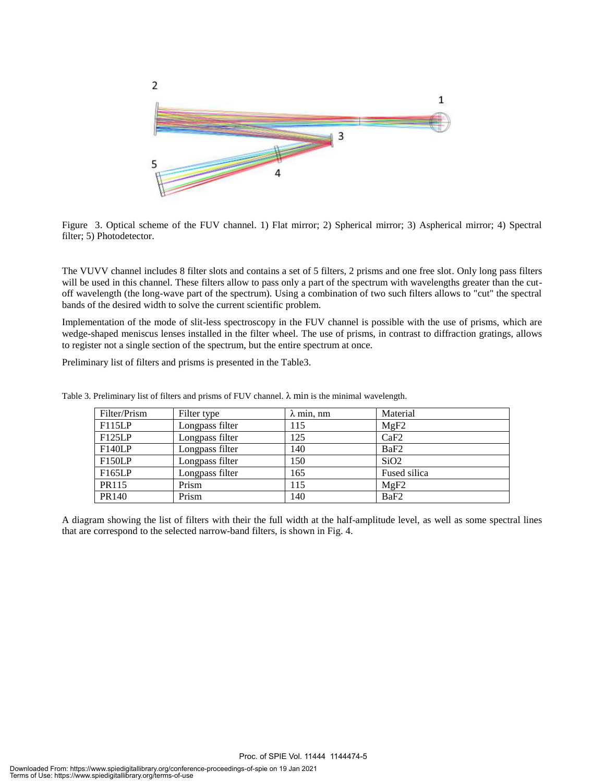

Figure 3. Optical scheme of the FUV channel. 1) Flat mirror; 2) Spherical mirror; 3) Aspherical mirror; 4) Spectral filter; 5) Photodetector.

The VUVV channel includes 8 filter slots and contains a set of 5 filters, 2 prisms and one free slot. Only long pass filters will be used in this channel. These filters allow to pass only a part of the spectrum with wavelengths greater than the cutoff wavelength (the long-wave part of the spectrum). Using a combination of two such filters allows to "cut" the spectral bands of the desired width to solve the current scientific problem.

Implementation of the mode of slit-less spectroscopy in the FUV channel is possible with the use of prisms, which are wedge-shaped meniscus lenses installed in the filter wheel. The use of prisms, in contrast to diffraction gratings, allows to register not a single section of the spectrum, but the entire spectrum at once.

Preliminary list of filters and prisms is presented in the Table3.

| Filter/Prism  | Filter type     | $\lambda$ min, nm | Material         |
|---------------|-----------------|-------------------|------------------|
| F115LP        | Longpass filter | 115               | MgF2             |
| F125LP        | Longpass filter | 125               | CaF2             |
| <b>F140LP</b> | Longpass filter | 140               | BaF <sub>2</sub> |
| <b>F150LP</b> | Longpass filter | 150               | SiO2             |
| F165LP        | Longpass filter | 165               | Fused silica     |
| PR115         | Prism           | 115               | MgF2             |
| PR140         | Prism           | 140               | BaF <sub>2</sub> |

Table 3. Preliminary list of filters and prisms of FUV channel.  $\lambda$  min is the minimal wavelength.

A diagram showing the list of filters with their the full width at the half-amplitude level, as well as some spectral lines that are correspond to the selected narrow-band filters, is shown in Fig. 4.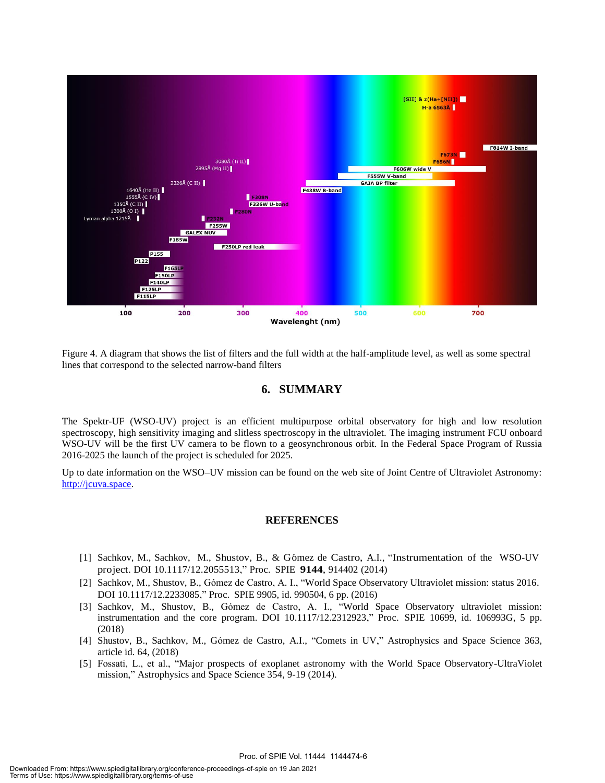

Figure 4. A diagram that shows the list of filters and the full width at the half-amplitude level, as well as some spectral lines that correspond to the selected narrow-band filters

#### **6. SUMMARY**

The Spektr-UF (WSO-UV) project is an efficient multipurpose orbital observatory for high and low resolution spectroscopy, high sensitivity imaging and slitless spectroscopy in the ultraviolet. The imaging instrument FCU onboard WSO-UV will be the first UV camera to be flown to a geosynchronous orbit. In the Federal Space Program of Russia 2016-2025 the launch of the project is scheduled for 2025.

Up to date information on the WSO–UV mission can be found on the web site of Joint Centre of Ultraviolet Astronomy: http://jcuva.space.

#### **REFERENCES**

- [1] Sachkov, M., Sachkov, M., Shustov, B., & G´omez de Castro, A.I., "Instrumentation of the WSO-UV project. DOI 10.1117/12.2055513," Proc. SPIE **9144**, 914402 (2014)
- [2] Sachkov, M., Shustov, B., Gómez de Castro, A. I., "World Space Observatory Ultraviolet mission: status 2016. DOI 10.1117/12.2233085," Proc. SPIE 9905, id. 990504, 6 pp. (2016)
- [3] Sachkov, M., Shustov, B., Gómez de Castro, A. I., "World Space Observatory ultraviolet mission: instrumentation and the core program. DOI 10.1117/12.2312923," Proc. SPIE 10699, id. 106993G, 5 pp. (2018)
- [4] Shustov, B., Sachkov, M., Gómez de Castro, A.I., "Comets in UV," Astrophysics and Space Science 363, article id. 64, (2018)
- [5] Fossati, L., et al., "Major prospects of exoplanet astronomy with the World Space Observatory-UltraViolet mission," Astrophysics and Space Science 354, 9-19 (2014).